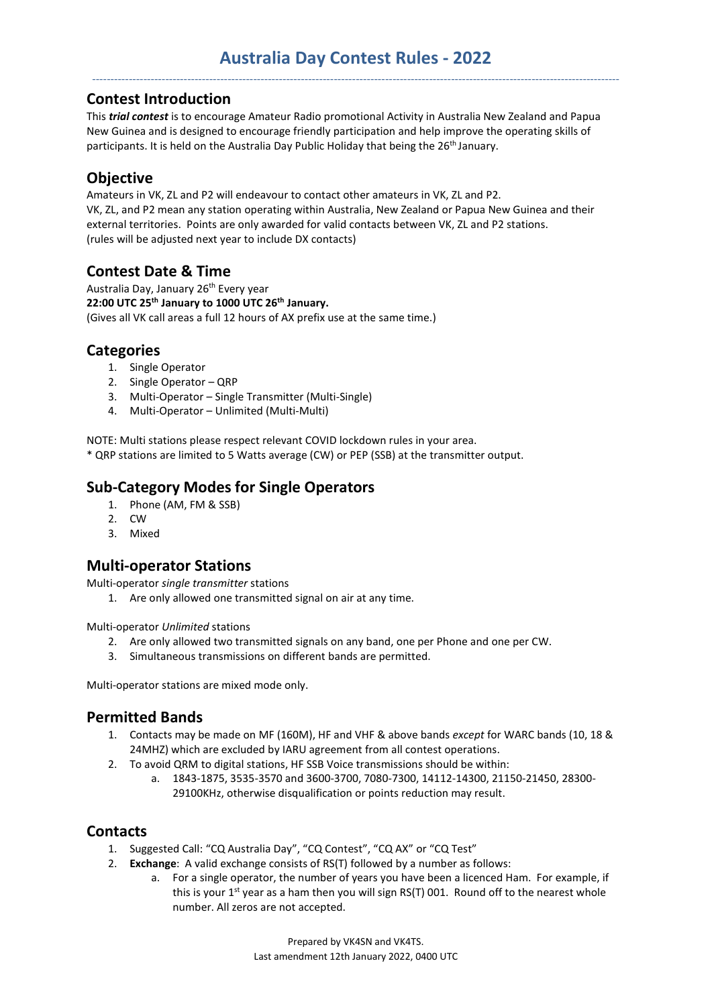#### Contest Introduction

This *trial contest* is to encourage Amateur Radio promotional Activity in Australia New Zealand and Papua New Guinea and is designed to encourage friendly participation and help improve the operating skills of participants. It is held on the Australia Day Public Holiday that being the 26<sup>th</sup> January.

# **Objective**

Amateurs in VK, ZL and P2 will endeavour to contact other amateurs in VK, ZL and P2. VK, ZL, and P2 mean any station operating within Australia, New Zealand or Papua New Guinea and their external territories. Points are only awarded for valid contacts between VK, ZL and P2 stations. (rules will be adjusted next year to include DX contacts)

# Contest Date & Time

Australia Day, January 26<sup>th</sup> Every year 22:00 UTC  $25<sup>th</sup>$  January to 1000 UTC  $26<sup>th</sup>$  January. (Gives all VK call areas a full 12 hours of AX prefix use at the same time.)

# **Categories**

- 1. Single Operator
- 2. Single Operator QRP
- 3. Multi-Operator Single Transmitter (Multi-Single)
- 4. Multi-Operator Unlimited (Multi-Multi)

NOTE: Multi stations please respect relevant COVID lockdown rules in your area.

\* QRP stations are limited to 5 Watts average (CW) or PEP (SSB) at the transmitter output.

# Sub-Category Modes for Single Operators

- 1. Phone (AM, FM & SSB)
- 2. CW
- 3. Mixed

### Multi-operator Stations

Multi-operator single transmitter stations

1. Are only allowed one transmitted signal on air at any time.

Multi-operator Unlimited stations

- 2. Are only allowed two transmitted signals on any band, one per Phone and one per CW.
- 3. Simultaneous transmissions on different bands are permitted.

Multi-operator stations are mixed mode only.

### Permitted Bands

- 1. Contacts may be made on MF (160M), HF and VHF & above bands except for WARC bands (10, 18 & 24MHZ) which are excluded by IARU agreement from all contest operations.
- 2. To avoid QRM to digital stations, HF SSB Voice transmissions should be within:
	- a. 1843-1875, 3535-3570 and 3600-3700, 7080-7300, 14112-14300, 21150-21450, 28300- 29100KHz, otherwise disqualification or points reduction may result.

# **Contacts**

- 1. Suggested Call: "CQ Australia Day", "CQ Contest", "CQ AX" or "CQ Test"
- 2. Exchange: A valid exchange consists of RS(T) followed by a number as follows:
	- a. For a single operator, the number of years you have been a licenced Ham. For example, if this is your  $1^{st}$  year as a ham then you will sign RS(T) 001. Round off to the nearest whole number. All zeros are not accepted.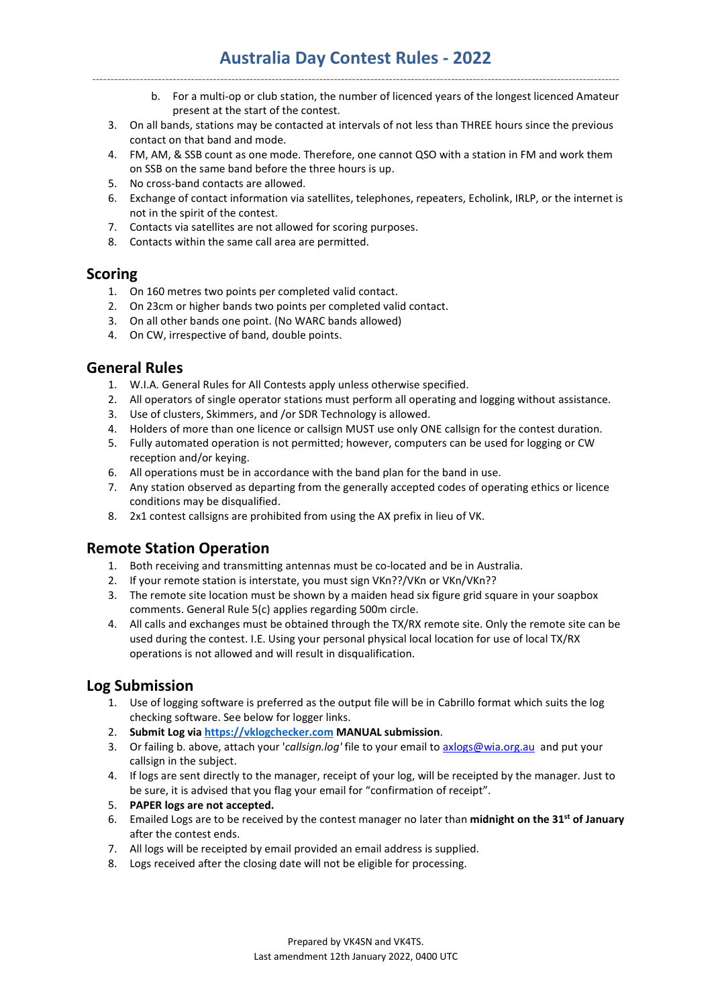# Australia Day Contest Rules - 2022 ------------------------------------------------------------------------------------------------------------------------------------------------

- b. For a multi-op or club station, the number of licenced years of the longest licenced Amateur present at the start of the contest.
- 3. On all bands, stations may be contacted at intervals of not less than THREE hours since the previous contact on that band and mode.
- 4. FM, AM, & SSB count as one mode. Therefore, one cannot QSO with a station in FM and work them on SSB on the same band before the three hours is up.
- 5. No cross-band contacts are allowed.
- 6. Exchange of contact information via satellites, telephones, repeaters, Echolink, IRLP, or the internet is not in the spirit of the contest.
- 7. Contacts via satellites are not allowed for scoring purposes.
- 8. Contacts within the same call area are permitted.

#### Scoring

- 1. On 160 metres two points per completed valid contact.
- 2. On 23cm or higher bands two points per completed valid contact.
- 3. On all other bands one point. (No WARC bands allowed)
- 4. On CW, irrespective of band, double points.

# General Rules

- 1. W.I.A. General Rules for All Contests apply unless otherwise specified.
- 2. All operators of single operator stations must perform all operating and logging without assistance.
- 3. Use of clusters, Skimmers, and /or SDR Technology is allowed.
- 4. Holders of more than one licence or callsign MUST use only ONE callsign for the contest duration.
- 5. Fully automated operation is not permitted; however, computers can be used for logging or CW reception and/or keying.
- 6. All operations must be in accordance with the band plan for the band in use.
- 7. Any station observed as departing from the generally accepted codes of operating ethics or licence conditions may be disqualified.
- 8. 2x1 contest callsigns are prohibited from using the AX prefix in lieu of VK.

### Remote Station Operation

- 1. Both receiving and transmitting antennas must be co-located and be in Australia.
- 2. If your remote station is interstate, you must sign VKn??/VKn or VKn/VKn??
- 3. The remote site location must be shown by a maiden head six figure grid square in your soapbox comments. General Rule 5(c) applies regarding 500m circle.
- 4. All calls and exchanges must be obtained through the TX/RX remote site. Only the remote site can be used during the contest. I.E. Using your personal physical local location for use of local TX/RX operations is not allowed and will result in disqualification.

### Log Submission

- 1. Use of logging software is preferred as the output file will be in Cabrillo format which suits the log checking software. See below for logger links.
- 2. Submit Log via https://vklogchecker.com MANUAL submission.
- 3. Or failing b. above, attach your 'callsign.log' file to your email to axlogs@wia.org.au and put your callsign in the subject.
- 4. If logs are sent directly to the manager, receipt of your log, will be receipted by the manager. Just to be sure, it is advised that you flag your email for "confirmation of receipt".
- 5. PAPER logs are not accepted.
- 6. Emailed Logs are to be received by the contest manager no later than midnight on the 31<sup>st</sup> of January after the contest ends.
- 7. All logs will be receipted by email provided an email address is supplied.
- 8. Logs received after the closing date will not be eligible for processing.